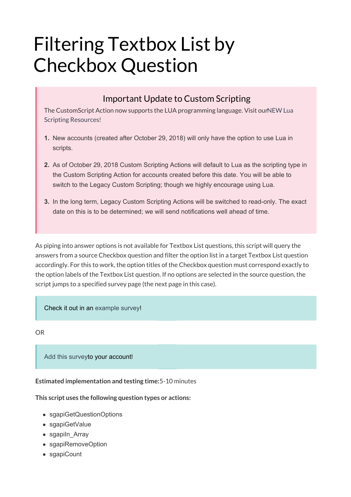# Filtering Textbox List by Checkbox Question

### Important Update to Custom Scripting

The CustomScript Action now supports the LUA programming language. Visit ourNEW Lua Scripting Resources!

- **1.** New accounts (created after October 29, 2018) will only have the option to use Lua in scripts.
- **2.** As of October 29, 2018 Custom Scripting Actions will default to Lua as the scripting type in the Custom Scripting Action for accounts created before this date. You will be able to switch to the Legacy Custom Scripting; though we highly encourage using Lua.
- **3.** In the long term, Legacy Custom Scripting Actions will be switched to read-only. The exact date on this is to be determined; we will send notifications well ahead of time.

As piping into answer options is not available for Textbox List questions, this script will query the answers from a source Checkbox question and filter the option list in a target Textbox List question accordingly. For this to work, the option titles of the Checkbox question must correspond exactly to the option labels of the Textbox List question. If no options are selected in the source question, the script jumps to a specified survey page (the next page in this case).

#### Check it out in an example survey!

OR

Add this surveyto your account!

**Estimated implementation and testing time:**5-10 minutes

**This script uses the following question types or actions:**

- sgapiGetQuestionOptions
- sgapiGetValue
- sgapiln Array
- sgapiRemoveOption
- sgapiCount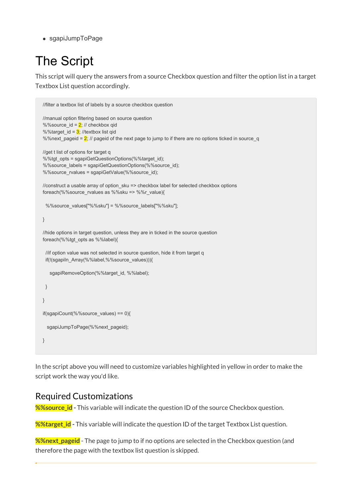sgapiJumpToPage

## The Script

This script will query the answers from a source Checkbox question and filter the option list in a target Textbox List question accordingly.

```
//filter a textbox list of labels by a source checkbox question
//manual option filtering based on source question
%%source_id = 2; // checkbox qid
%%target id = 3; //textbox list qid
%%next_pageid = \frac{2}{7} // pageid of the next page to jump to if there are no options ticked in source_q
//get t list of options for target q
%%tgt_opts = sgapiGetQuestionOptions(%%target_id);
%%source_labels = sgapiGetQuestionOptions(%%source_id);
%%source_rvalues = sgapiGetValue(%%source_id);
//construct a usable array of option_sku => checkbox label for selected checkbox options
foreach(%%source_rvalues as %%sku => %%r_value){
 %%source_values["%%sku"] = %%source_labels["%%sku"];
}
//hide options in target question, unless they are in ticked in the source question
foreach(%%tgt_opts as %%label){
 //if option value was not selected in source question, hide it from target q
 if(!(sgapiIn_Array(%%label,%%source_values))){
   sgapiRemoveOption(%%target_id, %%label);
 }
}
if(sgapiCount(%%source_values) == 0){
  sgapiJumpToPage(%%next_pageid);
}
```
In the script above you will need to customize variables highlighted in yellow in order to make the script work the way you'd like.

### Required Customizations

**%%source id** - This variable will indicate the question ID of the source Checkbox question.

**%%target\_id -** This variable will indicate the question ID of the target Textbox List question.

**%%next\_pageid** - The page to jump to if no options are selected in the Checkbox question (and therefore the page with the textbox list question is skipped.